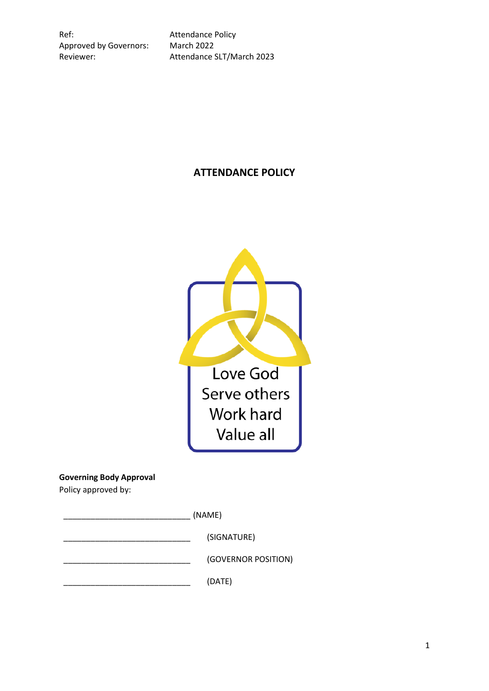Ref: **Attendance Policy** Approved by Governors: March 2022

Reviewer: Attendance SLT/March 2023

# **ATTENDANCE POLICY**



## **Governing Body Approval**

Policy approved by:

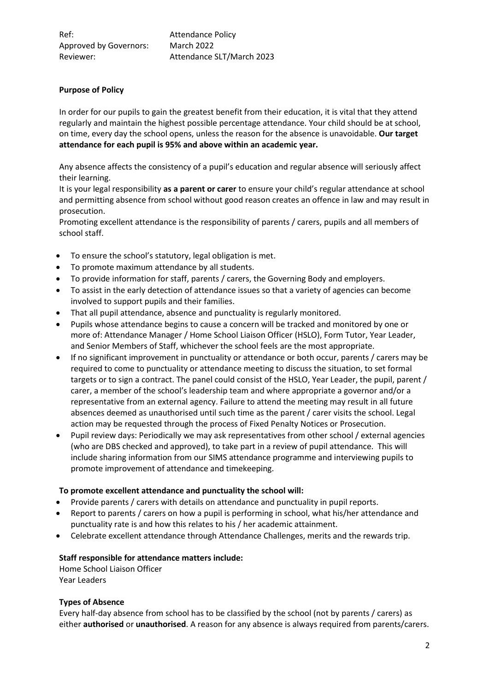# **Purpose of Policy**

In order for our pupils to gain the greatest benefit from their education, it is vital that they attend regularly and maintain the highest possible percentage attendance. Your child should be at school, on time, every day the school opens, unless the reason for the absence is unavoidable. **Our target attendance for each pupil is 95% and above within an academic year.**

Any absence affects the consistency of a pupil's education and regular absence will seriously affect their learning.

It is your legal responsibility **as a parent or carer** to ensure your child's regular attendance at school and permitting absence from school without good reason creates an offence in law and may result in prosecution.

Promoting excellent attendance is the responsibility of parents / carers, pupils and all members of school staff.

- To ensure the school's statutory, legal obligation is met.
- To promote maximum attendance by all students.
- To provide information for staff, parents / carers, the Governing Body and employers.
- To assist in the early detection of attendance issues so that a variety of agencies can become involved to support pupils and their families.
- That all pupil attendance, absence and punctuality is regularly monitored.
- Pupils whose attendance begins to cause a concern will be tracked and monitored by one or more of: Attendance Manager / Home School Liaison Officer (HSLO), Form Tutor, Year Leader, and Senior Members of Staff, whichever the school feels are the most appropriate.
- If no significant improvement in punctuality or attendance or both occur, parents / carers may be required to come to punctuality or attendance meeting to discuss the situation, to set formal targets or to sign a contract. The panel could consist of the HSLO, Year Leader, the pupil, parent / carer, a member of the school's leadership team and where appropriate a governor and/or a representative from an external agency. Failure to attend the meeting may result in all future absences deemed as unauthorised until such time as the parent / carer visits the school. Legal action may be requested through the process of Fixed Penalty Notices or Prosecution.
- Pupil review days: Periodically we may ask representatives from other school / external agencies (who are DBS checked and approved), to take part in a review of pupil attendance. This will include sharing information from our SIMS attendance programme and interviewing pupils to promote improvement of attendance and timekeeping.

#### **To promote excellent attendance and punctuality the school will:**

- Provide parents / carers with details on attendance and punctuality in pupil reports.
- Report to parents / carers on how a pupil is performing in school, what his/her attendance and punctuality rate is and how this relates to his / her academic attainment.
- Celebrate excellent attendance through Attendance Challenges, merits and the rewards trip.

#### **Staff responsible for attendance matters include:**

Home School Liaison Officer Year Leaders

#### **Types of Absence**

Every half-day absence from school has to be classified by the school (not by parents / carers) as either **authorised** or **unauthorised**. A reason for any absence is always required from parents/carers.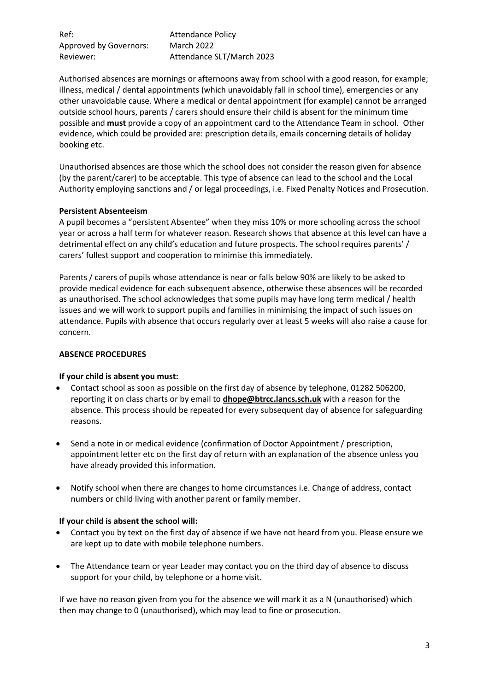Ref: **Attendance Policy** Approved by Governors: March 2022 Reviewer: Attendance SLT/March 2023

Authorised absences are mornings or afternoons away from school with a good reason, for example; illness, medical / dental appointments (which unavoidably fall in school time), emergencies or any other unavoidable cause. Where a medical or dental appointment (for example) cannot be arranged outside school hours, parents / carers should ensure their child is absent for the minimum time possible and **must** provide a copy of an appointment card to the Attendance Team in school. Other evidence, which could be provided are: prescription details, emails concerning details of holiday booking etc.

Unauthorised absences are those which the school does not consider the reason given for absence (by the parent/carer) to be acceptable. This type of absence can lead to the school and the Local Authority employing sanctions and / or legal proceedings, i.e. Fixed Penalty Notices and Prosecution.

#### **Persistent Absenteeism**

A pupil becomes a "persistent Absentee" when they miss 10% or more schooling across the school year or across a half term for whatever reason. Research shows that absence at this level can have a detrimental effect on any child's education and future prospects. The school requires parents' / carers' fullest support and cooperation to minimise this immediately.

Parents / carers of pupils whose attendance is near or falls below 90% are likely to be asked to provide medical evidence for each subsequent absence, otherwise these absences will be recorded as unauthorised. The school acknowledges that some pupils may have long term medical / health issues and we will work to support pupils and families in minimising the impact of such issues on attendance. Pupils with absence that occurs regularly over at least 5 weeks will also raise a cause for concern.

#### **ABSENCE PROCEDURES**

#### **If your child is absent you must:**

- Contact school as soon as possible on the first day of absence by telephone, 01282 506200, reporting it on class charts or by email to **dhope@btrcc.lancs.sch.uk** with a reason for the absence. This process should be repeated for every subsequent day of absence for safeguarding reasons.
- Send a note in or medical evidence (confirmation of Doctor Appointment / prescription, appointment letter etc on the first day of return with an explanation of the absence unless you have already provided this information.
- Notify school when there are changes to home circumstances i.e. Change of address, contact numbers or child living with another parent or family member.

#### **If your child is absent the school will:**

- Contact you by text on the first day of absence if we have not heard from you. Please ensure we are kept up to date with mobile telephone numbers.
- The Attendance team or year Leader may contact you on the third day of absence to discuss support for your child, by telephone or a home visit.

If we have no reason given from you for the absence we will mark it as a N (unauthorised) which then may change to 0 (unauthorised), which may lead to fine or prosecution.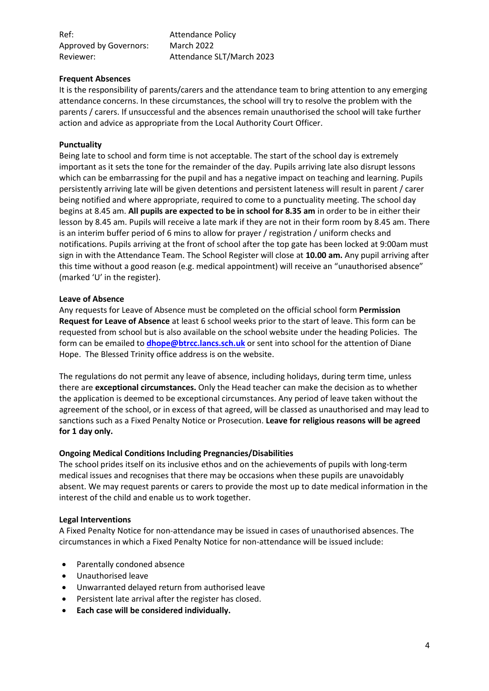Ref: **Attendance Policy** Approved by Governors: March 2022 Reviewer: Attendance SLT/March 2023

#### **Frequent Absences**

It is the responsibility of parents/carers and the attendance team to bring attention to any emerging attendance concerns. In these circumstances, the school will try to resolve the problem with the parents / carers. If unsuccessful and the absences remain unauthorised the school will take further action and advice as appropriate from the Local Authority Court Officer.

#### **Punctuality**

Being late to school and form time is not acceptable. The start of the school day is extremely important as it sets the tone for the remainder of the day. Pupils arriving late also disrupt lessons which can be embarrassing for the pupil and has a negative impact on teaching and learning. Pupils persistently arriving late will be given detentions and persistent lateness will result in parent / carer being notified and where appropriate, required to come to a punctuality meeting. The school day begins at 8.45 am. **All pupils are expected to be in school for 8.35 am** in order to be in either their lesson by 8.45 am. Pupils will receive a late mark if they are not in their form room by 8.45 am. There is an interim buffer period of 6 mins to allow for prayer / registration / uniform checks and notifications. Pupils arriving at the front of school after the top gate has been locked at 9:00am must sign in with the Attendance Team. The School Register will close at **10.00 am.** Any pupil arriving after this time without a good reason (e.g. medical appointment) will receive an "unauthorised absence" (marked 'U' in the register).

#### **Leave of Absence**

Any requests for Leave of Absence must be completed on the official school form **Permission Request for Leave of Absence** at least 6 school weeks prior to the start of leave. This form can be requested from school but is also available on the school website under the heading Policies. The form can be emailed to **[dhope@btrcc.lancs.sch.uk](mailto:dhope@btrcc.lancs.sch.uk)** or sent into school for the attention of Diane Hope. The Blessed Trinity office address is on the website.

The regulations do not permit any leave of absence, including holidays, during term time, unless there are **exceptional circumstances.** Only the Head teacher can make the decision as to whether the application is deemed to be exceptional circumstances. Any period of leave taken without the agreement of the school, or in excess of that agreed, will be classed as unauthorised and may lead to sanctions such as a Fixed Penalty Notice or Prosecution. **Leave for religious reasons will be agreed for 1 day only.**

#### **Ongoing Medical Conditions Including Pregnancies/Disabilities**

The school prides itself on its inclusive ethos and on the achievements of pupils with long-term medical issues and recognises that there may be occasions when these pupils are unavoidably absent. We may request parents or carers to provide the most up to date medical information in the interest of the child and enable us to work together.

#### **Legal Interventions**

A Fixed Penalty Notice for non-attendance may be issued in cases of unauthorised absences. The circumstances in which a Fixed Penalty Notice for non-attendance will be issued include:

- Parentally condoned absence
- Unauthorised leave
- Unwarranted delayed return from authorised leave
- Persistent late arrival after the register has closed.
- **Each case will be considered individually.**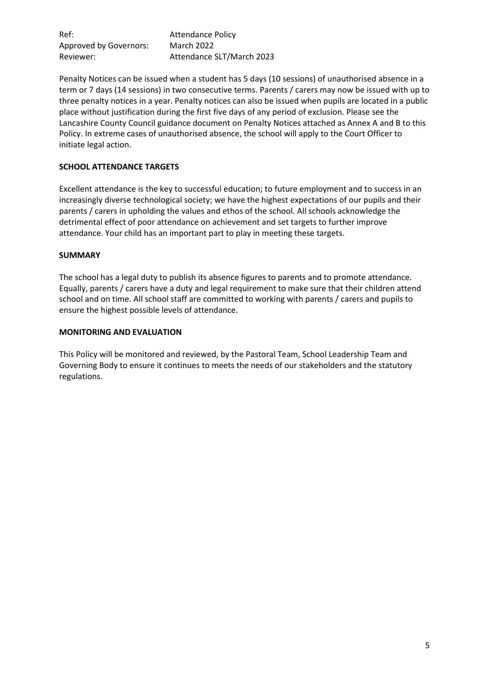Ref: **Attendance Policy** Approved by Governors: March 2022 Reviewer: Attendance SLT/March 2023

Penalty Notices can be issued when a student has 5 days (10 sessions) of unauthorised absence in a term or 7 days (14 sessions) in two consecutive terms. Parents / carers may now be issued with up to three penalty notices in a year. Penalty notices can also be issued when pupils are located in a public place without justification during the first five days of any period of exclusion. Please see the Lancashire County Council guidance document on Penalty Notices attached as Annex A and B to this Policy. In extreme cases of unauthorised absence, the school will apply to the Court Officer to initiate legal action.

# **SCHOOL ATTENDANCE TARGETS**

Excellent attendance is the key to successful education; to future employment and to success in an increasingly diverse technological society; we have the highest expectations of our pupils and their parents / carers in upholding the values and ethos of the school. All schools acknowledge the detrimental effect of poor attendance on achievement and set targets to further improve attendance. Your child has an important part to play in meeting these targets.

#### **SUMMARY**

The school has a legal duty to publish its absence figures to parents and to promote attendance. Equally, parents / carers have a duty and legal requirement to make sure that their children attend school and on time. All school staff are committed to working with parents / carers and pupils to ensure the highest possible levels of attendance.

#### **MONITORING AND EVALUATION**

This Policy will be monitored and reviewed, by the Pastoral Team, School Leadership Team and Governing Body to ensure it continues to meets the needs of our stakeholders and the statutory regulations.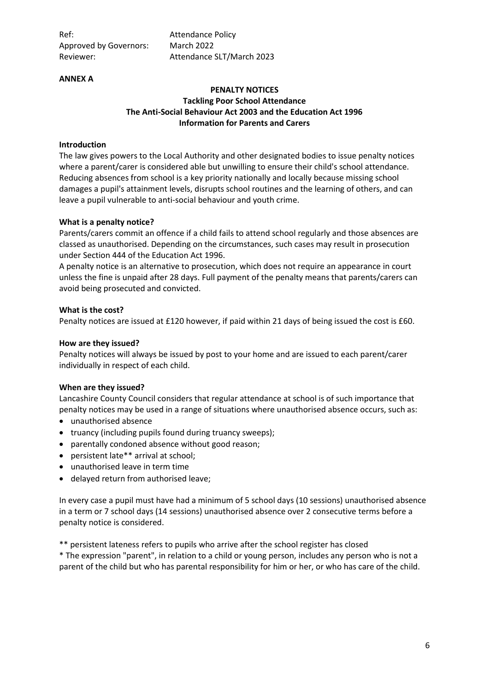Ref: **Attendance Policy** Approved by Governors: March 2022

Reviewer: Attendance SLT/March 2023

#### **ANNEX A**

#### **PENALTY NOTICES Tackling Poor School Attendance The Anti-Social Behaviour Act 2003 and the Education Act 1996 Information for Parents and Carers**

#### **Introduction**

The law gives powers to the Local Authority and other designated bodies to issue penalty notices where a parent/carer is considered able but unwilling to ensure their child's school attendance. Reducing absences from school is a key priority nationally and locally because missing school damages a pupil's attainment levels, disrupts school routines and the learning of others, and can leave a pupil vulnerable to anti-social behaviour and youth crime.

#### **What is a penalty notice?**

Parents/carers commit an offence if a child fails to attend school regularly and those absences are classed as unauthorised. Depending on the circumstances, such cases may result in prosecution under Section 444 of the Education Act 1996.

A penalty notice is an alternative to prosecution, which does not require an appearance in court unless the fine is unpaid after 28 days. Full payment of the penalty means that parents/carers can avoid being prosecuted and convicted.

#### **What is the cost?**

Penalty notices are issued at £120 however, if paid within 21 days of being issued the cost is £60.

#### **How are they issued?**

Penalty notices will always be issued by post to your home and are issued to each parent/carer individually in respect of each child.

#### **When are they issued?**

Lancashire County Council considers that regular attendance at school is of such importance that penalty notices may be used in a range of situations where unauthorised absence occurs, such as:

- unauthorised absence
- truancy (including pupils found during truancy sweeps);
- parentally condoned absence without good reason;
- persistent late\*\* arrival at school;
- unauthorised leave in term time
- delayed return from authorised leave;

In every case a pupil must have had a minimum of 5 school days (10 sessions) unauthorised absence in a term or 7 school days (14 sessions) unauthorised absence over 2 consecutive terms before a penalty notice is considered.

\*\* persistent lateness refers to pupils who arrive after the school register has closed

\* The expression "parent", in relation to a child or young person, includes any person who is not a parent of the child but who has parental responsibility for him or her, or who has care of the child.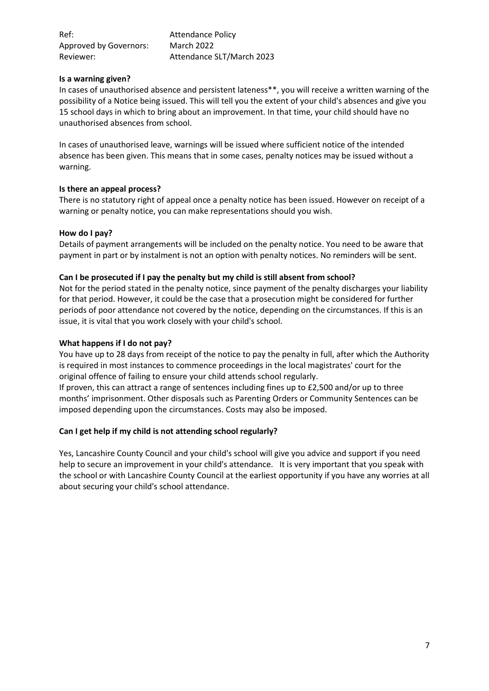| Ref:                   | <b>Attendance Policy</b>  |
|------------------------|---------------------------|
| Approved by Governors: | <b>March 2022</b>         |
| Reviewer:              | Attendance SLT/March 2023 |

#### **Is a warning given?**

In cases of unauthorised absence and persistent lateness\*\*, you will receive a written warning of the possibility of a Notice being issued. This will tell you the extent of your child's absences and give you 15 school days in which to bring about an improvement. In that time, your child should have no unauthorised absences from school.

In cases of unauthorised leave, warnings will be issued where sufficient notice of the intended absence has been given. This means that in some cases, penalty notices may be issued without a warning.

## **Is there an appeal process?**

There is no statutory right of appeal once a penalty notice has been issued. However on receipt of a warning or penalty notice, you can make representations should you wish.

#### **How do I pay?**

Details of payment arrangements will be included on the penalty notice. You need to be aware that payment in part or by instalment is not an option with penalty notices. No reminders will be sent.

#### **Can I be prosecuted if I pay the penalty but my child is still absent from school?**

Not for the period stated in the penalty notice, since payment of the penalty discharges your liability for that period. However, it could be the case that a prosecution might be considered for further periods of poor attendance not covered by the notice, depending on the circumstances. If this is an issue, it is vital that you work closely with your child's school.

#### **What happens if I do not pay?**

You have up to 28 days from receipt of the notice to pay the penalty in full, after which the Authority is required in most instances to commence proceedings in the local magistrates' court for the original offence of failing to ensure your child attends school regularly.

If proven, this can attract a range of sentences including fines up to £2,500 and/or up to three months' imprisonment. Other disposals such as Parenting Orders or Community Sentences can be imposed depending upon the circumstances. Costs may also be imposed.

## **Can I get help if my child is not attending school regularly?**

Yes, Lancashire County Council and your child's school will give you advice and support if you need help to secure an improvement in your child's attendance. It is very important that you speak with the school or with Lancashire County Council at the earliest opportunity if you have any worries at all about securing your child's school attendance.